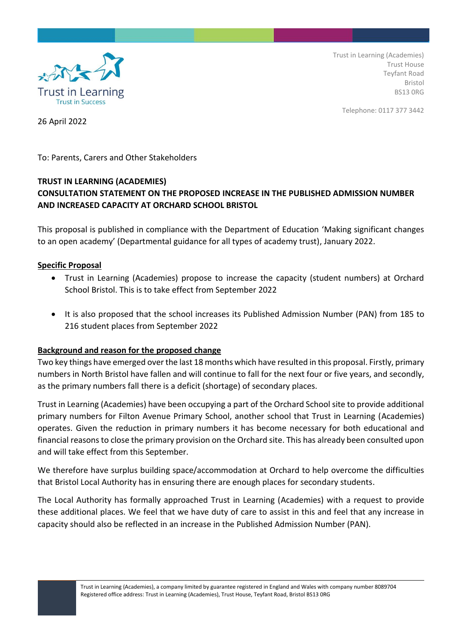

Trust in Learning (Academies) Trust House Teyfant Road Bristol BS13 0RG

Telephone: 0117 377 3442

26 April 2022

To: Parents, Carers and Other Stakeholders

## **TRUST IN LEARNING (ACADEMIES)**

# **CONSULTATION STATEMENT ON THE PROPOSED INCREASE IN THE PUBLISHED ADMISSION NUMBER AND INCREASED CAPACITY AT ORCHARD SCHOOL BRISTOL**

This proposal is published in compliance with the Department of Education 'Making significant changes to an open academy' (Departmental guidance for all types of academy trust), January 2022.

#### **Specific Proposal**

- Trust in Learning (Academies) propose to increase the capacity (student numbers) at Orchard School Bristol. This is to take effect from September 2022
- It is also proposed that the school increases its Published Admission Number (PAN) from 185 to 216 student places from September 2022

#### **Background and reason for the proposed change**

Two key things have emerged over the last 18 months which have resulted in this proposal. Firstly, primary numbers in North Bristol have fallen and will continue to fall for the next four or five years, and secondly, as the primary numbers fall there is a deficit (shortage) of secondary places.

Trust in Learning (Academies) have been occupying a part of the Orchard School site to provide additional primary numbers for Filton Avenue Primary School, another school that Trust in Learning (Academies) operates. Given the reduction in primary numbers it has become necessary for both educational and financial reasons to close the primary provision on the Orchard site. This has already been consulted upon and will take effect from this September.

We therefore have surplus building space/accommodation at Orchard to help overcome the difficulties that Bristol Local Authority has in ensuring there are enough places for secondary students.

The Local Authority has formally approached Trust in Learning (Academies) with a request to provide these additional places. We feel that we have duty of care to assist in this and feel that any increase in capacity should also be reflected in an increase in the Published Admission Number (PAN).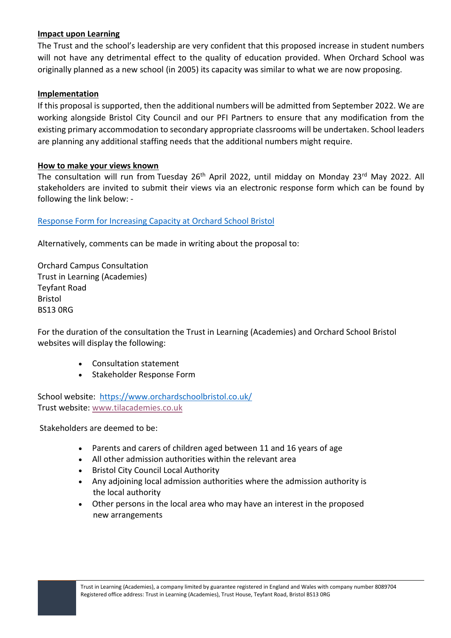#### **Impact upon Learning**

The Trust and the school's leadership are very confident that this proposed increase in student numbers will not have any detrimental effect to the quality of education provided. When Orchard School was originally planned as a new school (in 2005) its capacity was similar to what we are now proposing.

### **Implementation**

If this proposal is supported, then the additional numbers will be admitted from September 2022. We are working alongside Bristol City Council and our PFI Partners to ensure that any modification from the existing primary accommodation to secondary appropriate classrooms will be undertaken. School leaders are planning any additional staffing needs that the additional numbers might require.

## **How to make your views known**

The consultation will run from Tuesday 26<sup>th</sup> April 2022, until midday on Monday 23<sup>rd</sup> May 2022. All stakeholders are invited to submit their views via an electronic response form which can be found by following the link below: -

## [Response Form for Increasing Capacity at Orchard School Bristol](https://www.surveymonkey.co.uk/r/Z69BYND)

Alternatively, comments can be made in writing about the proposal to:

Orchard Campus Consultation Trust in Learning (Academies) Teyfant Road Bristol BS13 0RG

For the duration of the consultation the Trust in Learning (Academies) and Orchard School Bristol websites will display the following:

- Consultation statement
- Stakeholder Response Form

School website: <https://www.orchardschoolbristol.co.uk/> Trust website: [www.tilacademies.co.uk](http://www.tilacademies.co.uk/)

Stakeholders are deemed to be:

- Parents and carers of children aged between 11 and 16 years of age
- All other admission authorities within the relevant area
- Bristol City Council Local Authority
- Any adjoining local admission authorities where the admission authority is the local authority
- Other persons in the local area who may have an interest in the proposed new arrangements